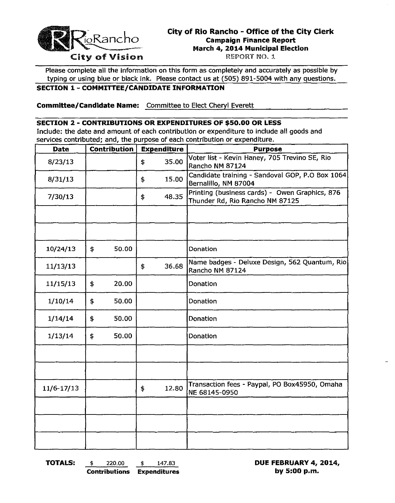

# **City of Rio Rancho - Office of the City Clerk EXANCHO Campaign Finance Report March 4, 2014 Municipal Election**

Please complete all the information on this form as completely and accurately as possible by typing or using blue or black ink. Please contact us at (505) 891-5004 with any questions.

### **SECTION 1 - COMMITTEE/CANDIDATE INFORMATION**

**Committee/Candidate Name:** Committee to Elect Cheryl Everett

#### **SECTION 2 - CONTRIBUTIONS OR EXPENDITURES OF \$50.00 OR LESS**

Include: the date and amount of each contribution or expenditure to include all goods and services contributed; and, the purpose of each contribution or expenditure.

| Contribution<br><b>Date</b> |    | <b>Expenditure</b> |    | <b>Purpose</b> |                                                                                   |  |  |
|-----------------------------|----|--------------------|----|----------------|-----------------------------------------------------------------------------------|--|--|
| 8/23/13                     |    |                    | \$ | 35.00          | Voter list - Kevin Haney, 705 Trevino SE, Rio<br>Rancho NM 87124                  |  |  |
| 8/31/13                     |    |                    | \$ | 15.00          | Candidate training - Sandoval GOP, P.O Box 1064<br>Bernalillo, NM 87004           |  |  |
| 7/30/13                     |    |                    | \$ | 48.35          | Printing (business cards) - Owen Graphics, 876<br>Thunder Rd, Rio Rancho NM 87125 |  |  |
|                             |    |                    |    |                |                                                                                   |  |  |
|                             |    |                    |    |                |                                                                                   |  |  |
| 10/24/13                    | \$ | 50.00              |    |                | Donation                                                                          |  |  |
| 11/13/13                    |    |                    | \$ | 36.68          | Name badges - Deluxe Design, 562 Quantum, Rio<br>Rancho NM 87124                  |  |  |
| 11/15/13                    | \$ | 20.00              |    |                | Donation                                                                          |  |  |
| 1/10/14                     | \$ | 50.00              |    |                | Donation                                                                          |  |  |
| 1/14/14                     | \$ | 50.00              |    |                | Donation                                                                          |  |  |
| 1/13/14                     | \$ | 50.00              |    |                | Donation                                                                          |  |  |
|                             |    |                    |    |                |                                                                                   |  |  |
|                             |    |                    |    |                |                                                                                   |  |  |
| 11/6-17/13                  |    |                    | \$ | 12.80          | Transaction fees - Paypal, PO Box45950, Omaha<br>NE 68145-0950                    |  |  |
|                             |    |                    |    |                |                                                                                   |  |  |
|                             |    |                    |    |                |                                                                                   |  |  |
|                             |    |                    |    |                |                                                                                   |  |  |

**TOTALS:** \$ 220,00 \$ 147.83 **DUE FEBRUARY 4, 2014, Contributions Expenditures by 5:00 p.m.**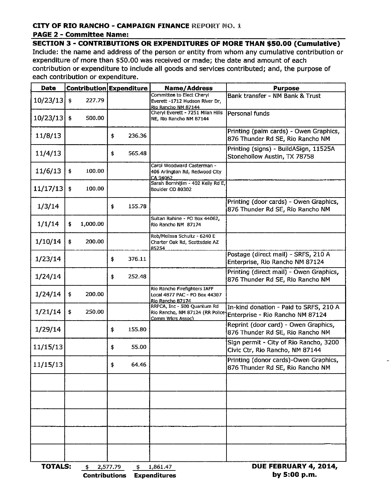## **CITY OF RIO RANCHO - CAMPAIGN FINANCE REPORT NO. 1**

### **PAGE 2 - Committee Name:**

**SECTION 3 - CONTRIBUTIONS OR EXPENDITURES OF MORE THAN \$50.00 (Cumulative)** Include: the name and address of the person or entity from whom any cumulative contribution or expenditure of more than \$50.00 was received or made; the date and amount of each contribution or expenditure to include all goods and services contributed; and, the purpose of each contribution or expenditure.

| Date                                                                        |                      |          | Contribution Expenditure |        | <b>Name/Address</b>                                                                | <b>Purpose</b>                                                              |  |  |  |
|-----------------------------------------------------------------------------|----------------------|----------|--------------------------|--------|------------------------------------------------------------------------------------|-----------------------------------------------------------------------------|--|--|--|
| 10/23/13                                                                    | $\ddot{\ddot{\Phi}}$ | 227.79   |                          |        | Committee to Elect Cheryl<br>Everett -1712 Hudson River Dr,<br>Rio Rancho NM 87144 | Bank transfer - NM Bank & Trust                                             |  |  |  |
| 10/23/13                                                                    | $\ddot{\bullet}$     | 500.00   |                          |        | Cheryl Everett - 7251 Milan Hills<br>NE, Rio Rancho NM 87144                       | Personal funds                                                              |  |  |  |
| 11/8/13                                                                     |                      |          | \$                       | 236.36 |                                                                                    | Printing (palm cards) - Owen Graphics,<br>876 Thunder Rd SE, Rio Rancho NM  |  |  |  |
| 11/4/13                                                                     |                      |          | \$                       | 565.48 |                                                                                    | Printing (signs) - BuildASign, 11525A<br>Stonehollow Austin, TX 78758       |  |  |  |
| 11/6/13                                                                     | \$                   | 100.00   |                          |        | Carol Woodward Casterman -<br>406 Arlington Rd, Redwood City<br>CA 94062           |                                                                             |  |  |  |
| 11/17/13                                                                    | \$                   | 100.00   |                          |        | Sarah Bornhijim - 402 Kelly Rd E,<br>Boulder CO 80302                              |                                                                             |  |  |  |
| 1/3/14                                                                      |                      |          | \$                       | 155.78 |                                                                                    | Printing (door cards) - Owen Graphics,<br>876 Thunder Rd SE, Rio Rancho NM  |  |  |  |
| 1/1/14                                                                      | \$                   | 1,000.00 |                          |        | Sultan Rahine - PO Box 44062,<br>Rio Rancho NM 87174                               |                                                                             |  |  |  |
| 1/10/14                                                                     | \$                   | 200.00   |                          |        | Rob/Melissa Schultz - 6240 E<br>Charter Oak Rd, Scottsdale AZ<br>85254             |                                                                             |  |  |  |
| 1/23/14                                                                     |                      |          | \$                       | 376.11 |                                                                                    | Postage (direct mail) - SRFS, 210 A<br>Enterprise, Rio Rancho NM 87124      |  |  |  |
| 1/24/14                                                                     |                      |          | \$                       | 252.48 |                                                                                    | Printing (direct mail) - Owen Graphics,<br>876 Thunder Rd SE, Rio Rancho NM |  |  |  |
| 1/24/14                                                                     | \$                   | 200.00   |                          |        | Rio Rancho Firefighters IAFF<br>Local 4877 PAC - PO Box 44307<br>Rio Rancho 87174  |                                                                             |  |  |  |
| 1/21/14                                                                     | \$                   | 250.00   |                          |        | RRPCA, Inc - 500 Quantum Rd<br>Rio Rancho, NM 87124 (RR Police<br>Comm Wkrs Assoc) | In-kind donation - Paid to SRFS, 210 A<br>Enterprise - Rio Rancho NM 87124  |  |  |  |
| 1/29/14                                                                     |                      |          | \$                       | 155.80 |                                                                                    | Reprint (door card) - Owen Graphics,<br>876 Thunder Rd SE, Rio Rancho NM    |  |  |  |
| 11/15/13                                                                    |                      |          | \$                       | 55.00  |                                                                                    | Sign permit - City of Rio Rancho, 3200<br>Civic Ctr, Rio Rancho, NM 87144   |  |  |  |
| 11/15/13                                                                    |                      |          | \$                       | 64.46  |                                                                                    | Printing (donor cards)-Owen Graphics,<br>876 Thunder Rd SE, Rio Rancho NM   |  |  |  |
|                                                                             |                      |          |                          |        |                                                                                    |                                                                             |  |  |  |
|                                                                             |                      |          |                          |        |                                                                                    |                                                                             |  |  |  |
|                                                                             |                      |          |                          |        |                                                                                    |                                                                             |  |  |  |
|                                                                             |                      |          |                          |        |                                                                                    |                                                                             |  |  |  |
|                                                                             |                      |          |                          |        |                                                                                    |                                                                             |  |  |  |
| DUE FEBRUARY 4, 2014,<br><b>TOTALS:</b><br>2,577.79<br>1,861.47<br>\$<br>\$ |                      |          |                          |        |                                                                                    |                                                                             |  |  |  |

**Contributions Expenditures** 

by 5:00 p.m.

 $\overline{a}$